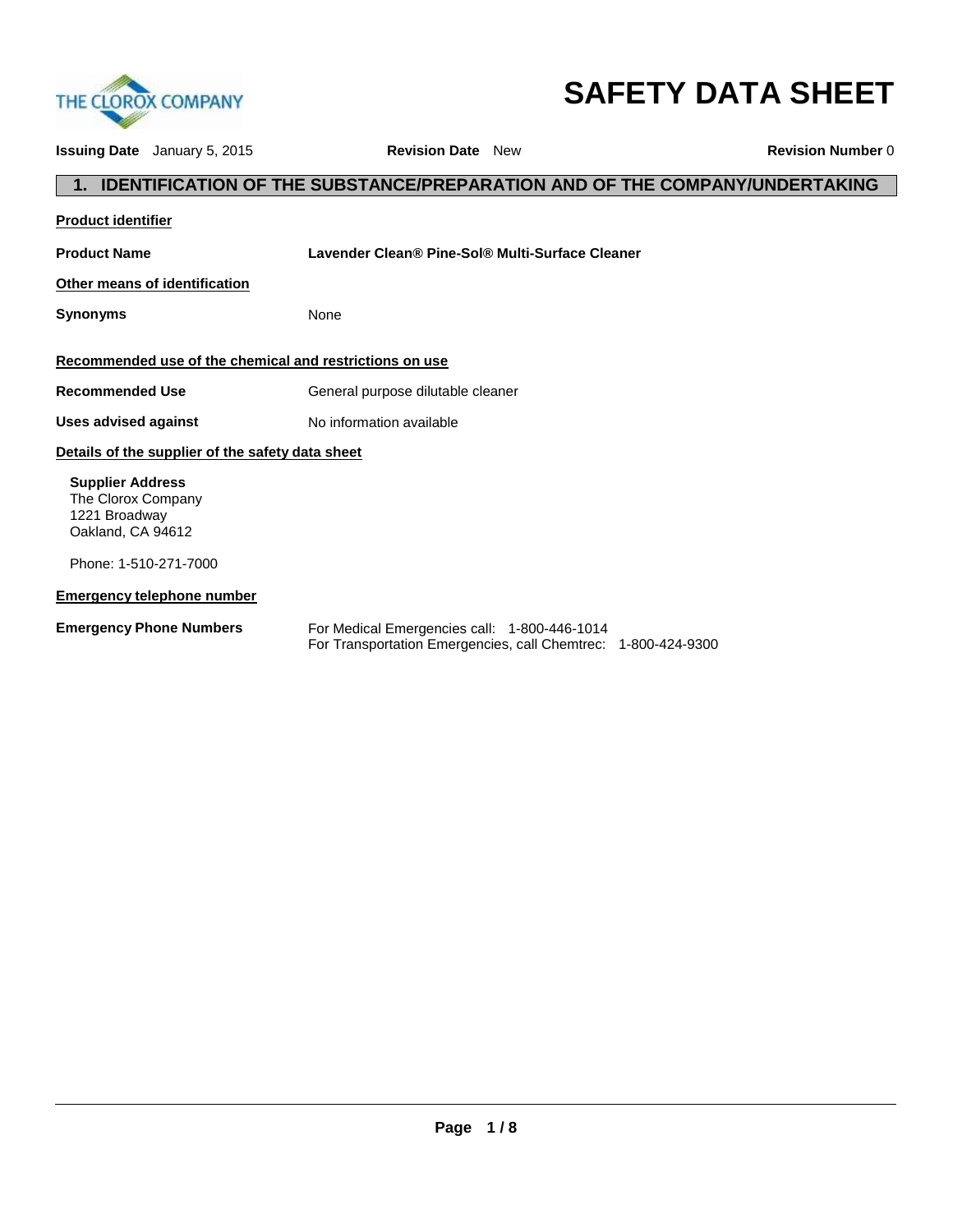

# **SAFETY DATA SHEET**

| <b>Issuing Date</b> January 5, 2015                                                 | <b>Revision Date</b> New                                                                                      | <b>Revision Number 0</b> |
|-------------------------------------------------------------------------------------|---------------------------------------------------------------------------------------------------------------|--------------------------|
|                                                                                     | <b>IDENTIFICATION OF THE SUBSTANCE/PREPARATION AND OF THE COMPANY/UNDERTAKING</b>                             |                          |
| <b>Product identifier</b>                                                           |                                                                                                               |                          |
| <b>Product Name</b>                                                                 | Lavender Clean® Pine-Sol® Multi-Surface Cleaner                                                               |                          |
| Other means of identification                                                       |                                                                                                               |                          |
| <b>Synonyms</b>                                                                     | None                                                                                                          |                          |
|                                                                                     | Recommended use of the chemical and restrictions on use                                                       |                          |
| <b>Recommended Use</b>                                                              | General purpose dilutable cleaner                                                                             |                          |
| <b>Uses advised against</b>                                                         | No information available                                                                                      |                          |
| Details of the supplier of the safety data sheet                                    |                                                                                                               |                          |
| <b>Supplier Address</b><br>The Clorox Company<br>1221 Broadway<br>Oakland, CA 94612 |                                                                                                               |                          |
| Phone: 1-510-271-7000                                                               |                                                                                                               |                          |
| <b>Emergency telephone number</b>                                                   |                                                                                                               |                          |
| <b>Emergency Phone Numbers</b>                                                      | For Medical Emergencies call: 1-800-446-1014<br>For Transportation Emergencies, call Chemtrec: 1-800-424-9300 |                          |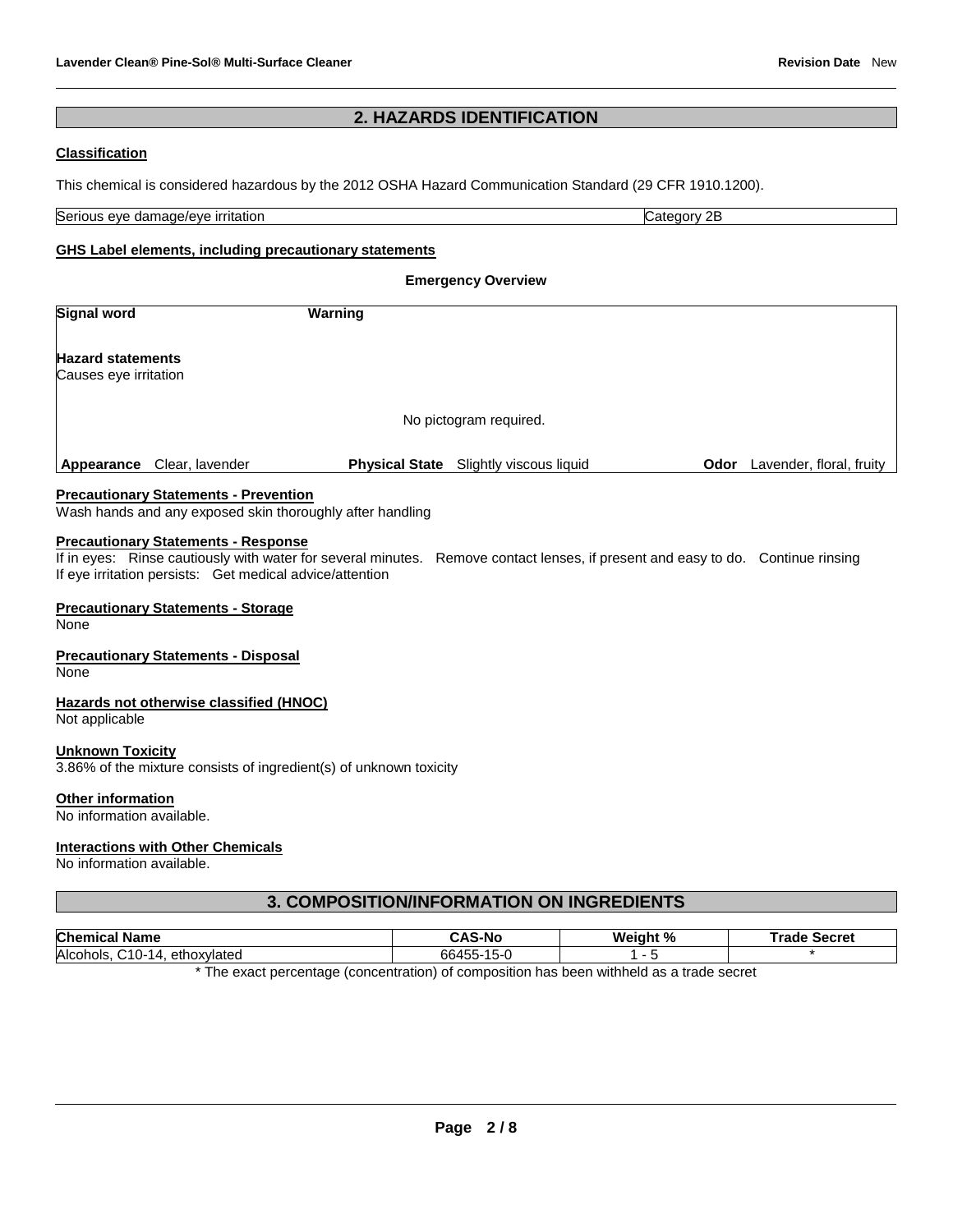### **2. HAZARDS IDENTIFICATION**

### **Classification**

This chemical is considered hazardous by the 2012 OSHA Hazard Communication Standard (29 CFR 1910.1200).

Serious eye damage/eye irritation Category 2B and Category 2B

#### **GHS Label elements, including precautionary statements**

**Emergency Overview Signal word Warning Hazard statements** Causes eye irritation No pictogram required. **Appearance** Clear, lavender **Physical State** Slightly viscous liquid **Odor** Lavender, floral, fruity

### **Precautionary Statements - Prevention**

Wash hands and any exposed skin thoroughly after handling

#### **Precautionary Statements - Response**

If in eyes: Rinse cautiously with water for several minutes. Remove contact lenses, if present and easy to do. Continue rinsing If eye irritation persists: Get medical advice/attention

### **Precautionary Statements - Storage**

None

#### **Precautionary Statements - Disposal**

None

#### **Hazards not otherwise classified (HNOC)**

Not applicable

#### **Unknown Toxicity**

3.86% of the mixture consists of ingredient(s) of unknown toxicity

#### **Other information**

No information available.

### **Interactions with Other Chemicals**

No information available.

### **3. COMPOSITION/INFORMATION ON INGREDIENTS**

| <b>Chemical</b><br>Name                                                                            | `AS-No           | Weight % | Trade<br>∍ Secret |  |
|----------------------------------------------------------------------------------------------------|------------------|----------|-------------------|--|
| Alcohols.<br>$\mathcal{C}$ 10-<br>ethoxylated                                                      | 66455-1<br>I 5-1 |          |                   |  |
| * The consent a succession form contaction) of connectition has been mithindifferent and decompose |                  |          |                   |  |

The exact percentage (concentration) of composition has been withheld as a trade secret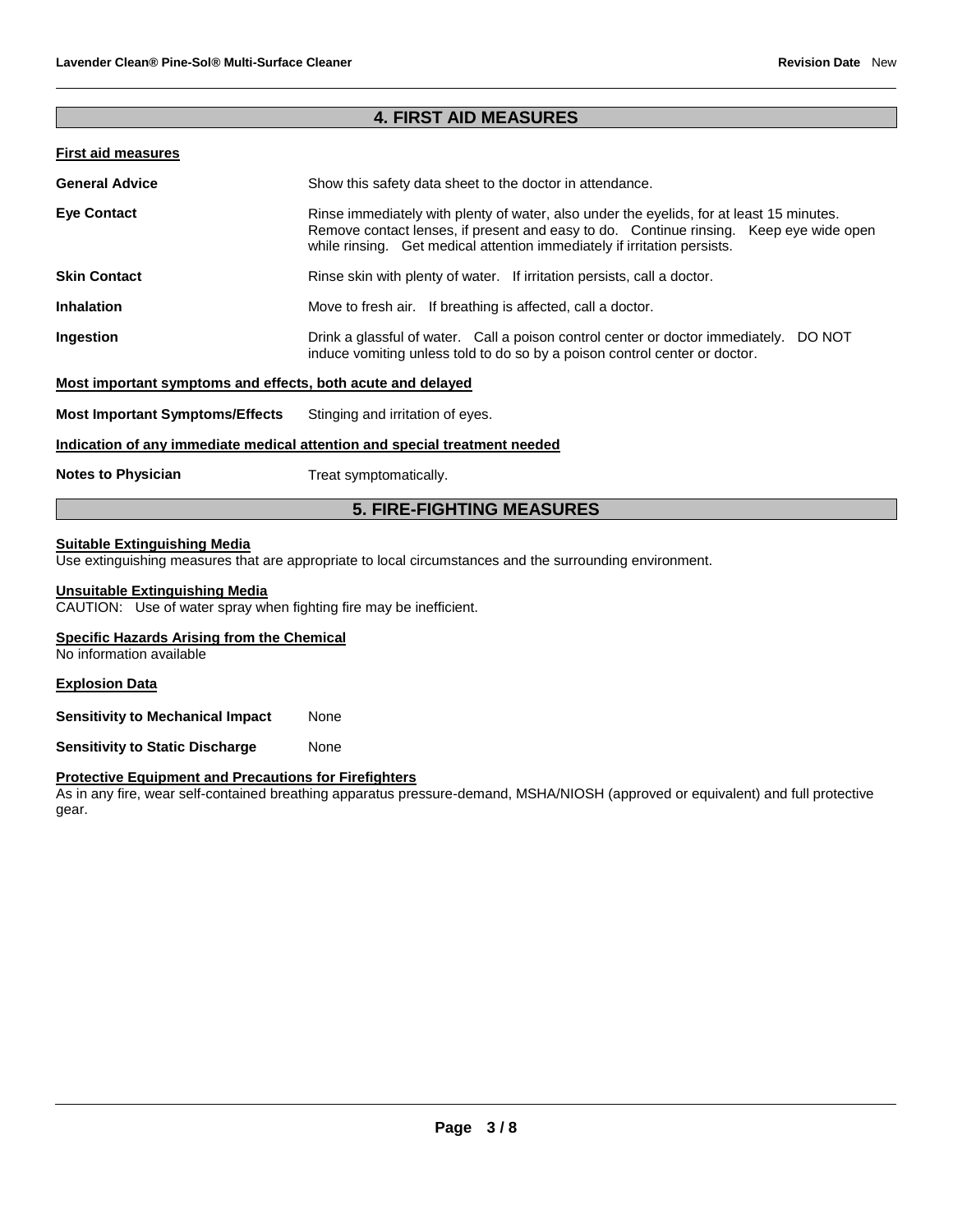### **4. FIRST AID MEASURES**

### **First aid measures**

| <b>General Advice</b>                                                      | Show this safety data sheet to the doctor in attendance.                                                                                                                                                                                                       |  |  |  |
|----------------------------------------------------------------------------|----------------------------------------------------------------------------------------------------------------------------------------------------------------------------------------------------------------------------------------------------------------|--|--|--|
| <b>Eve Contact</b>                                                         | Rinse immediately with plenty of water, also under the eyelids, for at least 15 minutes.<br>Remove contact lenses, if present and easy to do. Continue rinsing. Keep eye wide open<br>while rinsing. Get medical attention immediately if irritation persists. |  |  |  |
| <b>Skin Contact</b>                                                        | Rinse skin with plenty of water. If irritation persists, call a doctor.                                                                                                                                                                                        |  |  |  |
| <b>Inhalation</b>                                                          | Move to fresh air. If breathing is affected, call a doctor.                                                                                                                                                                                                    |  |  |  |
| Ingestion                                                                  | Drink a glassful of water. Call a poison control center or doctor immediately. DO NOT<br>induce vomiting unless told to do so by a poison control center or doctor.                                                                                            |  |  |  |
| Most important symptoms and effects, both acute and delayed                |                                                                                                                                                                                                                                                                |  |  |  |
| <b>Most Important Symptoms/Effects</b>                                     | Stinging and irritation of eyes.                                                                                                                                                                                                                               |  |  |  |
| Indication of any immediate medical attention and special treatment needed |                                                                                                                                                                                                                                                                |  |  |  |
| <b>Notes to Physician</b>                                                  | Treat symptomatically.                                                                                                                                                                                                                                         |  |  |  |

### **5. FIRE-FIGHTING MEASURES**

### **Suitable Extinguishing Media**

Use extinguishing measures that are appropriate to local circumstances and the surrounding environment.

### **Unsuitable Extinguishing Media**

CAUTION: Use of water spray when fighting fire may be inefficient.

### **Specific Hazards Arising from the Chemical**

No information available

### **Explosion Data**

**Sensitivity to Mechanical Impact None** 

**Sensitivity to Static Discharge Mone** 

### **Protective Equipment and Precautions for Firefighters**

As in any fire, wear self-contained breathing apparatus pressure-demand, MSHA/NIOSH (approved or equivalent) and full protective gear.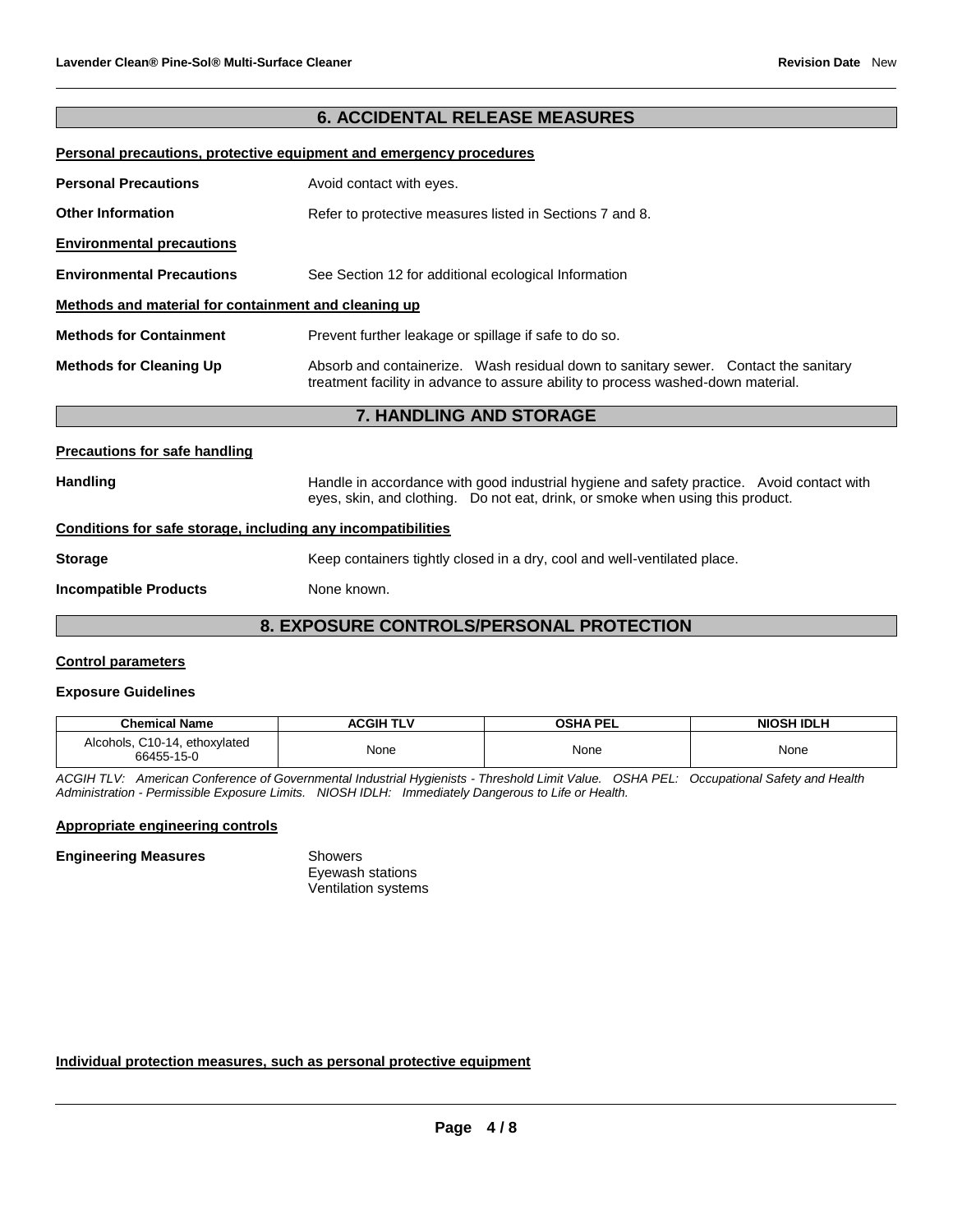### **6. ACCIDENTAL RELEASE MEASURES**

#### **Personal precautions, protective equipment and emergency procedures**

| <b>Personal Precautions</b>                          | Avoid contact with eyes.                                                                                                                                                |  |  |  |
|------------------------------------------------------|-------------------------------------------------------------------------------------------------------------------------------------------------------------------------|--|--|--|
| <b>Other Information</b>                             | Refer to protective measures listed in Sections 7 and 8.                                                                                                                |  |  |  |
| <b>Environmental precautions</b>                     |                                                                                                                                                                         |  |  |  |
| <b>Environmental Precautions</b>                     | See Section 12 for additional ecological Information                                                                                                                    |  |  |  |
| Methods and material for containment and cleaning up |                                                                                                                                                                         |  |  |  |
| <b>Methods for Containment</b>                       | Prevent further leakage or spillage if safe to do so.                                                                                                                   |  |  |  |
| <b>Methods for Cleaning Up</b>                       | Absorb and containerize. Wash residual down to sanitary sewer. Contact the sanitary<br>treatment facility in advance to assure ability to process washed-down material. |  |  |  |
| <b>7. HANDLING AND STORAGE</b>                       |                                                                                                                                                                         |  |  |  |
| <b>Precautions for safe handling</b>                 |                                                                                                                                                                         |  |  |  |

Handling **Handle in accordance with good industrial hygiene and safety practice. Avoid contact with and the same thandle in accordance with good industrial hygiene and safety practice. Avoid contact with** 

# eyes, skin, and clothing. Do not eat, drink, or smoke when using this product. **Conditions for safe storage, including any incompatibilities**

# **Storage** Keep containers tightly closed in a dry, cool and well-ventilated place.

**Incompatible Products** None known.

### **8. EXPOSURE CONTROLS/PERSONAL PROTECTION**

### **Control parameters**

### **Exposure Guidelines**

| <b>Chemical Name</b>                        | <b>ACGIH TLV</b> | OSHA PEL | <b>NIOSH IDLH</b> |
|---------------------------------------------|------------------|----------|-------------------|
| Alcohols, C10-14, ethoxylated<br>66455-15-0 | None             | None     | None              |

*ACGIH TLV: American Conference of Governmental Industrial Hygienists - Threshold Limit Value. OSHA PEL: Occupational Safety and Health Administration - Permissible Exposure Limits. NIOSH IDLH: Immediately Dangerous to Life or Health.*

### **Appropriate engineering controls**

### **Engineering Measures Showers**

Eyewash stations Ventilation systems

### **Individual protection measures, such as personal protective equipment**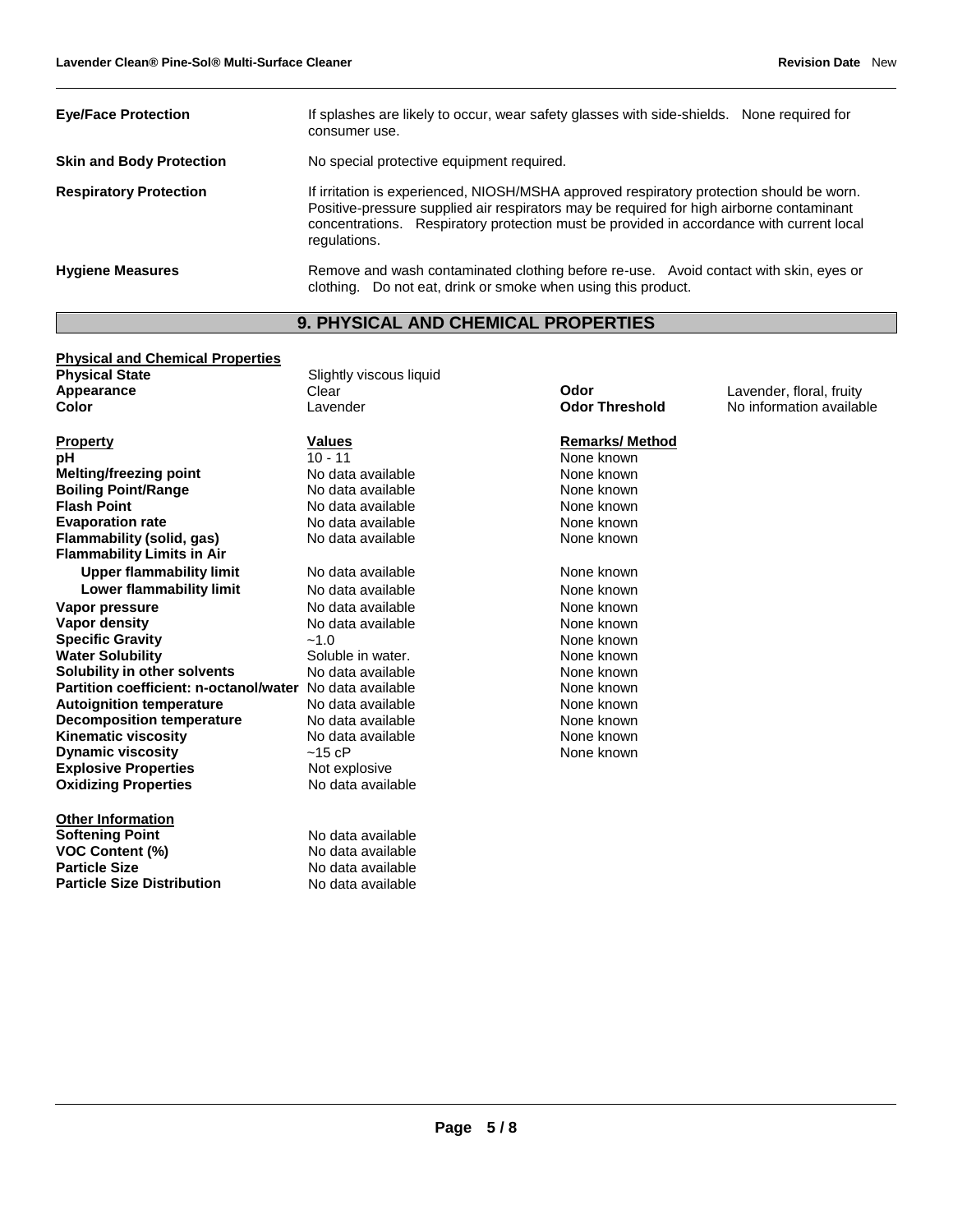| <b>Eve/Face Protection</b>      | If splashes are likely to occur, wear safety glasses with side-shields. None required for<br>consumer use.                                                                                                                                                                                       |  |  |  |
|---------------------------------|--------------------------------------------------------------------------------------------------------------------------------------------------------------------------------------------------------------------------------------------------------------------------------------------------|--|--|--|
| <b>Skin and Body Protection</b> | No special protective equipment required.                                                                                                                                                                                                                                                        |  |  |  |
| <b>Respiratory Protection</b>   | If irritation is experienced, NIOSH/MSHA approved respiratory protection should be worn.<br>Positive-pressure supplied air respirators may be required for high airborne contaminant<br>concentrations. Respiratory protection must be provided in accordance with current local<br>regulations. |  |  |  |
| <b>Hygiene Measures</b>         | Remove and wash contaminated clothing before re-use. Avoid contact with skin, eyes or<br>clothing. Do not eat, drink or smoke when using this product.                                                                                                                                           |  |  |  |

# **9. PHYSICAL AND CHEMICAL PROPERTIES**

| <b>Physical and Chemical Properties</b>                  |                         |                       |                          |
|----------------------------------------------------------|-------------------------|-----------------------|--------------------------|
| <b>Physical State</b>                                    | Slightly viscous liquid |                       |                          |
| Appearance                                               | Clear                   | Odor                  | Lavender, floral, fruity |
| Color                                                    | Lavender                | <b>Odor Threshold</b> | No information available |
| <b>Property</b>                                          | <b>Values</b>           | <b>Remarks/Method</b> |                          |
| рH                                                       | $10 - 11$               | None known            |                          |
| <b>Melting/freezing point</b>                            | No data available       | None known            |                          |
| <b>Boiling Point/Range</b>                               | No data available       | None known            |                          |
| <b>Flash Point</b>                                       | No data available       | None known            |                          |
| <b>Evaporation rate</b>                                  | No data available       | None known            |                          |
| Flammability (solid, gas)                                | No data available       | None known            |                          |
| <b>Flammability Limits in Air</b>                        |                         |                       |                          |
| <b>Upper flammability limit</b>                          | No data available       | None known            |                          |
| Lower flammability limit                                 | No data available       | None known            |                          |
| Vapor pressure                                           | No data available       | None known            |                          |
| <b>Vapor density</b>                                     | No data available       | None known            |                          |
| <b>Specific Gravity</b>                                  | ~1.0                    | None known            |                          |
| <b>Water Solubility</b>                                  | Soluble in water.       | None known            |                          |
| Solubility in other solvents                             | No data available       | None known            |                          |
| Partition coefficient: n-octanol/water No data available |                         | None known            |                          |
| <b>Autoignition temperature</b>                          | No data available       | None known            |                          |
| <b>Decomposition temperature</b>                         | No data available       | None known            |                          |
| <b>Kinematic viscosity</b>                               | No data available       | None known            |                          |
| <b>Dynamic viscosity</b>                                 | $~15$ cP                | None known            |                          |
| <b>Explosive Properties</b>                              | Not explosive           |                       |                          |
| <b>Oxidizing Properties</b>                              | No data available       |                       |                          |
| <b>Other Information</b>                                 |                         |                       |                          |
| <b>Softening Point</b>                                   | No data available       |                       |                          |
| <b>VOC Content (%)</b>                                   | No data available       |                       |                          |
| <b>Particle Size</b>                                     | No data available       |                       |                          |
| <b>Particle Size Distribution</b>                        | No data available       |                       |                          |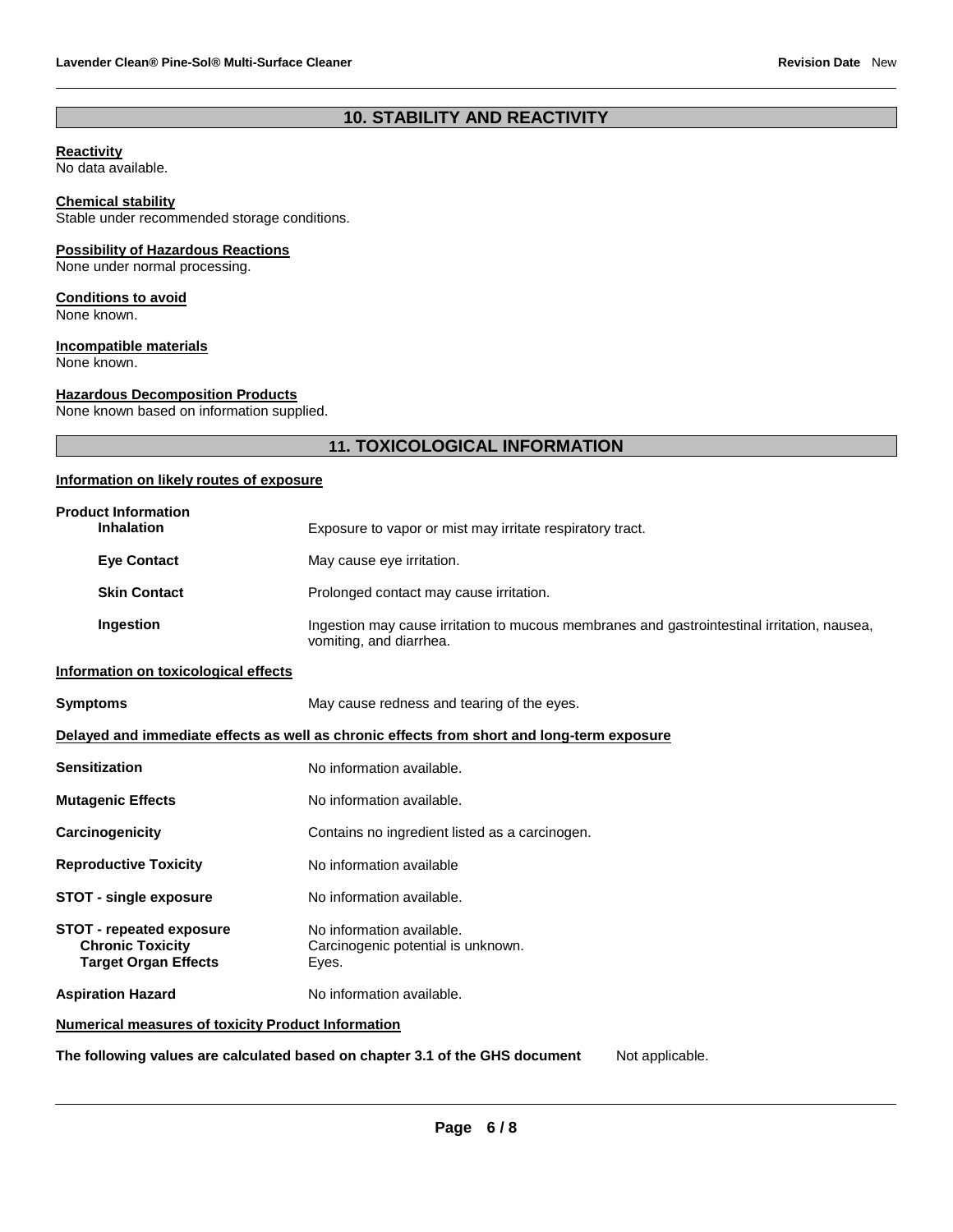### **10. STABILITY AND REACTIVITY**

#### **Reactivity**

No data available.

### **Chemical stability**

Stable under recommended storage conditions.

### **Possibility of Hazardous Reactions**

None under normal processing.

#### **Conditions to avoid**

None known.

### **Incompatible materials**

None known.

### **Hazardous Decomposition Products**

None known based on information supplied.

### **11. TOXICOLOGICAL INFORMATION**

### **Information on likely routes of exposure**

| <b>Product Information</b><br><b>Inhalation</b>                                           | Exposure to vapor or mist may irritate respiratory tract.                                                              |  |  |  |
|-------------------------------------------------------------------------------------------|------------------------------------------------------------------------------------------------------------------------|--|--|--|
| <b>Eye Contact</b>                                                                        | May cause eye irritation.                                                                                              |  |  |  |
| <b>Skin Contact</b>                                                                       | Prolonged contact may cause irritation.                                                                                |  |  |  |
| Ingestion                                                                                 | Ingestion may cause irritation to mucous membranes and gastrointestinal irritation, nausea,<br>vomiting, and diarrhea. |  |  |  |
| Information on toxicological effects                                                      |                                                                                                                        |  |  |  |
| <b>Symptoms</b>                                                                           | May cause redness and tearing of the eyes.                                                                             |  |  |  |
|                                                                                           | Delayed and immediate effects as well as chronic effects from short and long-term exposure                             |  |  |  |
| <b>Sensitization</b>                                                                      | No information available.                                                                                              |  |  |  |
| <b>Mutagenic Effects</b>                                                                  | No information available.                                                                                              |  |  |  |
| Carcinogenicity                                                                           | Contains no ingredient listed as a carcinogen.                                                                         |  |  |  |
| <b>Reproductive Toxicity</b>                                                              | No information available                                                                                               |  |  |  |
| <b>STOT - single exposure</b>                                                             | No information available.                                                                                              |  |  |  |
| <b>STOT - repeated exposure</b><br><b>Chronic Toxicity</b><br><b>Target Organ Effects</b> | No information available.<br>Carcinogenic potential is unknown.<br>Eyes.                                               |  |  |  |
| <b>Aspiration Hazard</b>                                                                  | No information available.                                                                                              |  |  |  |
| <b>Numerical measures of toxicity Product Information</b>                                 |                                                                                                                        |  |  |  |

**The following values are calculated based on chapter 3.1 of the GHS document** Not applicable.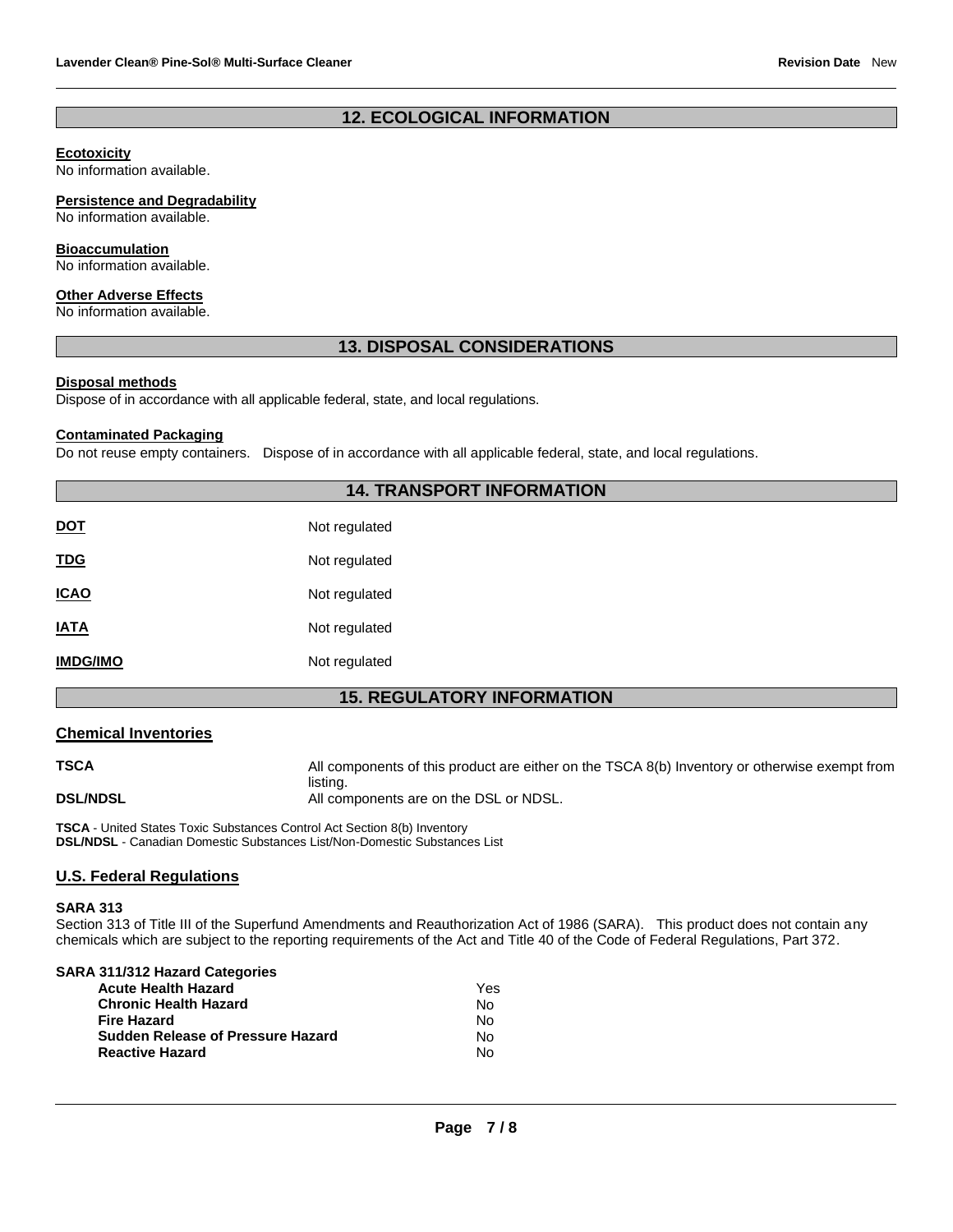### **12. ECOLOGICAL INFORMATION**

### **Ecotoxicity**

No information available.

#### **Persistence and Degradability**

No information available.

#### **Bioaccumulation**

No information available.

#### **Other Adverse Effects**

No information available.

### **13. DISPOSAL CONSIDERATIONS**

### **Disposal methods**

Dispose of in accordance with all applicable federal, state, and local regulations.

#### **Contaminated Packaging**

Do not reuse empty containers. Dispose of in accordance with all applicable federal, state, and local regulations.

### **14. TRANSPORT INFORMATION**

| <b>DOT</b>      | Not regulated |
|-----------------|---------------|
| <u>TDG</u>      | Not regulated |
| <b>ICAO</b>     | Not regulated |
| <b>IATA</b>     | Not regulated |
| <b>IMDG/IMO</b> | Not regulated |

### **15. REGULATORY INFORMATION**

### **Chemical Inventories**

**TSCA** All components of this product are either on the TSCA 8(b) Inventory or otherwise exempt from listing. **DSL/NDSL All components are on the DSL or NDSL.** 

**TSCA** - United States Toxic Substances Control Act Section 8(b) Inventory **DSL/NDSL** - Canadian Domestic Substances List/Non-Domestic Substances List

### **U.S. Federal Regulations**

#### **SARA 313**

Section 313 of Title III of the Superfund Amendments and Reauthorization Act of 1986 (SARA). This product does not contain any chemicals which are subject to the reporting requirements of the Act and Title 40 of the Code of Federal Regulations, Part 372.

| SARA 311/312 Hazard Categories           |     |
|------------------------------------------|-----|
| <b>Acute Health Hazard</b>               | Yes |
| <b>Chronic Health Hazard</b>             | N٥  |
| <b>Fire Hazard</b>                       | No  |
| <b>Sudden Release of Pressure Hazard</b> | N٥  |
| <b>Reactive Hazard</b>                   | N٥  |
|                                          |     |